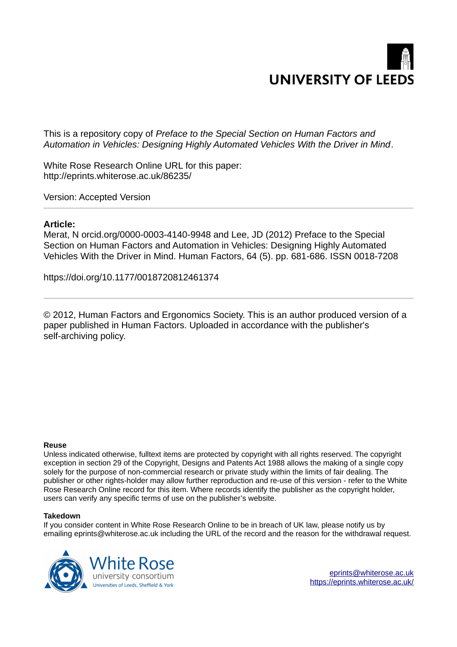

This is a repository copy of *Preface to the Special Section on Human Factors and Automation in Vehicles: Designing Highly Automated Vehicles With the Driver in Mind*.

White Rose Research Online URL for this paper: http://eprints.whiterose.ac.uk/86235/

Version: Accepted Version

### **Article:**

Merat, N orcid.org/0000-0003-4140-9948 and Lee, JD (2012) Preface to the Special Section on Human Factors and Automation in Vehicles: Designing Highly Automated Vehicles With the Driver in Mind. Human Factors, 64 (5). pp. 681-686. ISSN 0018-7208

https://doi.org/10.1177/0018720812461374

© 2012, Human Factors and Ergonomics Society. This is an author produced version of a paper published in Human Factors. Uploaded in accordance with the publisher's self-archiving policy.

#### **Reuse**

Unless indicated otherwise, fulltext items are protected by copyright with all rights reserved. The copyright exception in section 29 of the Copyright, Designs and Patents Act 1988 allows the making of a single copy solely for the purpose of non-commercial research or private study within the limits of fair dealing. The publisher or other rights-holder may allow further reproduction and re-use of this version - refer to the White Rose Research Online record for this item. Where records identify the publisher as the copyright holder, users can verify any specific terms of use on the publisher's website.

#### **Takedown**

If you consider content in White Rose Research Online to be in breach of UK law, please notify us by emailing eprints@whiterose.ac.uk including the URL of the record and the reason for the withdrawal request.



[eprints@whiterose.ac.uk](mailto:eprints@whiterose.ac.uk) <https://eprints.whiterose.ac.uk/>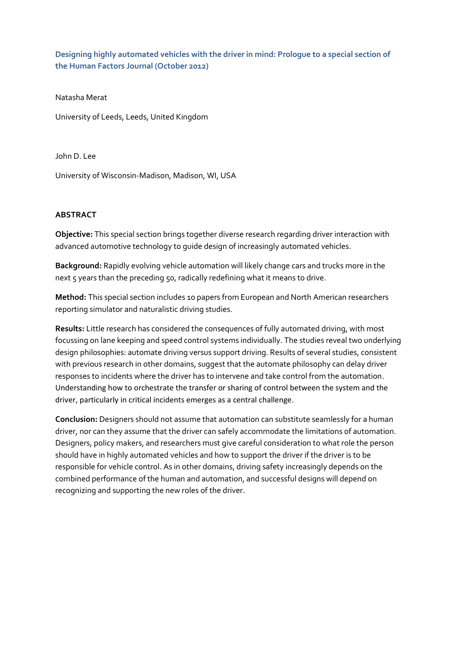**Designing highly automated vehicles with the driver in mind: Prologue to a special section of the Human Factors Journal (October 2012)** 

Natasha Merat

University of Leeds, Leeds, United Kingdom

John D. Lee

University of Wisconsin-Madison, Madison, WI, USA

### **ABSTRACT**

**Objective:** This special section brings together diverse research regarding driver interaction with advanced automotive technology to guide design of increasingly automated vehicles.

**Background:** Rapidly evolving vehicle automation will likely change cars and trucks more in the next 5 years than the preceding 50, radically redefining what it means to drive.

**Method:** This special section includes 10 papers from European and North American researchers reporting simulator and naturalistic driving studies.

**Results:** Little research has considered the consequences of fully automated driving, with most focussing on lane keeping and speed control systems individually. The studies reveal two underlying design philosophies: automate driving versus support driving. Results of several studies, consistent with previous research in other domains, suggest that the automate philosophy can delay driver responses to incidents where the driver has to intervene and take control from the automation. Understanding how to orchestrate the transfer or sharing of control between the system and the driver, particularly in critical incidents emerges as a central challenge.

**Conclusion:** Designers should not assume that automation can substitute seamlessly for a human driver, nor can they assume that the driver can safely accommodate the limitations of automation. Designers, policy makers, and researchers must give careful consideration to what role the person should have in highly automated vehicles and how to support the driver if the driver is to be responsible for vehicle control. As in other domains, driving safety increasingly depends on the combined performance of the human and automation, and successful designs will depend on recognizing and supporting the new roles of the driver.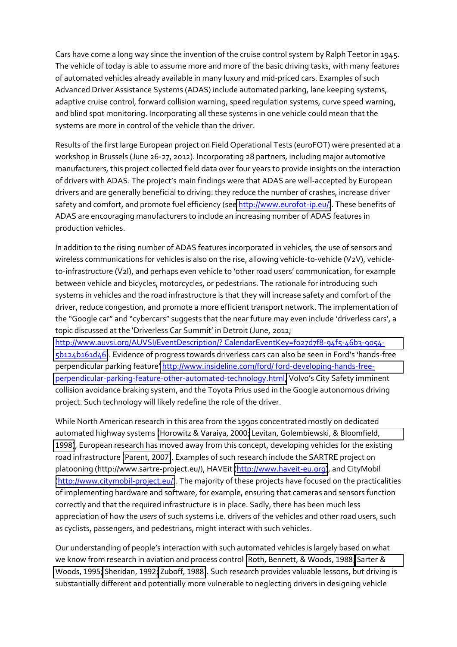Cars have come a long way since the invention of the cruise control system by Ralph Teetor in 1945. The vehicle of today is able to assume more and more of the basic driving tasks, with many features of automated vehicles already available in many luxury and mid-priced cars. Examples of such Advanced Driver Assistance Systems (ADAS) include automated parking, lane keeping systems, adaptive cruise control, forward collision warning, speed regulation systems, curve speed warning, and blind spot monitoring. Incorporating all these systems in one vehicle could mean that the systems are more in control of the vehicle than the driver.

Results of the first large European project on Field Operational Tests (euroFOT) were presented at a workshop in Brussels (June 26-27, 2012). Incorporating 28 partners, including major automotive manufacturers, this project collected field data over four years to provide insights on the interaction of drivers with ADAS. The project's main findings were that ADAS are well-accepted by European drivers and are generally beneficial to driving: they reduce the number of crashes, increase driver safety and comfort, and promote fuel efficiency (see [http://www.eurofot-ip.eu/\)](http://www.eurofot-ip.eu/). These benefits of ADAS are encouraging manufacturers to include an increasing number of ADAS features in production vehicles.

In addition to the rising number of ADAS features incorporated in vehicles, the use of sensors and wireless communications for vehicles is also on the rise, allowing vehicle-to-vehicle (V2V), vehicleto-infrastructure (V2I), and perhaps even vehicle to 'other road users' communication, for example between vehicle and bicycles, motorcycles, or pedestrians. The rationale for introducing such systems in vehicles and the road infrastructure is that they will increase safety and comfort of the driver, reduce congestion, and promote a more efficient transport network. The implementation of the "Google car" and "cybercars" suggests that the near future may even include 'driverless cars', a topic discussed at the 'Driverless Car Summit' in Detroit (June, 2012;

[http://www.auvsi.org/AUVSI/EventDescription/? CalendarEventKey=f027d7f8-94f5-46b3-9054-](http://www.auvsi.org/AUVSI/EventDescription/?%20CalendarEventKey=f027d7f8-94f5-46b3-9054-5b124b161d46) [5b124b161d46\)](http://www.auvsi.org/AUVSI/EventDescription/?%20CalendarEventKey=f027d7f8-94f5-46b3-9054-5b124b161d46). Evidence of progress towards driverless cars can also be seen in Ford's 'hands-free perpendicular parking feature' [http://www.insideline.com/ford/ ford-developing-hands-free](http://www.insideline.com/ford/%20ford-developing-hands-free-perpendicular-parking-feature-other-automated-technology.html)[perpendicular-parking-feature-other-automated-technology.html](http://www.insideline.com/ford/%20ford-developing-hands-free-perpendicular-parking-feature-other-automated-technology.html), Volvo's City Safety imminent collision avoidance braking system, and the Toyota Prius used in the Google autonomous driving project. Such technology will likely redefine the role of the driver.

While North American research in this area from the 1990s concentrated mostly on dedicated automated highway systems [\(Horowitz & Varaiya, 2000;](#page-6-0) [Levitan, Golembiewski, & Bloomfield,](#page-6-1)  [1998\)](#page-6-1), European research has moved away from this concept, developing vehicles for the existing road infrastructure [\(Parent, 2007\)](#page-7-0). Examples of such research include the SARTRE project on platooning (http://www.sartre-project.eu/), HAVEit [\(http://www.haveit-eu.org\)](http://www.haveit-eu.org/), and CityMobil [\(http://www.citymobil-project.eu/\)](http://www.citymobil-project.eu/). The majority of these projects have focused on the practicalities of implementing hardware and software, for example, ensuring that cameras and sensors function correctly and that the required infrastructure is in place. Sadly, there has been much less appreciation of how the *users* of such systems i.e. drivers of the vehicles and other road users, such as cyclists, passengers, and pedestrians, might interact with such vehicles.

Our understanding of people's interaction with such automated vehicles is largely based on what we know from research in aviation and process control [\(Roth, Bennett, & Woods, 1988;](#page-7-1) [Sarter &](#page-7-2)  [Woods, 1995;](#page-7-2) [Sheridan, 1992;](#page-7-3) [Zuboff, 1988\)](#page-7-4). Such research provides valuable lessons, but driving is substantially different and potentially more vulnerable to neglecting drivers in designing vehicle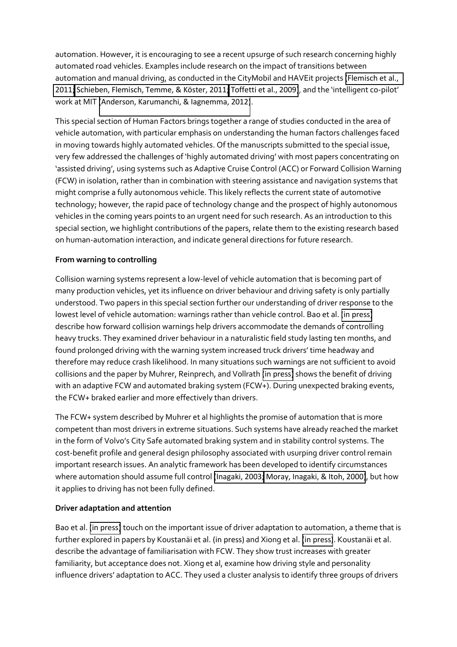automation. However, it is encouraging to see a recent upsurge of such research concerning highly automated road vehicles. Examples include research on the impact of transitions between automation and manual driving, as conducted in the CityMobil and HAVEit projects [\(Flemisch et al.,](#page-6-2)  [2011;](#page-6-2) Schieben, Flemisch, Temme, & Köster, 2011; [Toffetti et al., 2009\)](#page-7-6), and the 'intelligent co-pilot' work at MIT [\(Anderson, Karumanchi, & Iagnemma, 2012\)](#page-6-3).

This special section of Human Factors brings together a range of studies conducted in the area of vehicle automation, with particular emphasis on understanding the human factors challenges faced in moving towards highly automated vehicles. Of the manuscripts submitted to the special issue, very few addressed the challenges of 'highly automated driving' with most papers concentrating on 'assisted driving', using systems such as Adaptive Cruise Control (ACC) or Forward Collision Warning (FCW) in isolation, rather than in combination with steering assistance and navigation systems that might comprise a fully autonomous vehicle. This likely reflects the current state of automotive technology; however, the rapid pace of technology change and the prospect of highly autonomous vehicles in the coming years points to an urgent need for such research. As an introduction to this special section, we highlight contributions of the papers, relate them to the existing research based on human-automation interaction, and indicate general directions for future research.

# **From warning to controlling**

Collision warning systems represent a low-level of vehicle automation that is becoming part of many production vehicles, yet its influence on driver behaviour and driving safety is only partially understood. Two papers in this special section further our understanding of driver response to the lowest level of vehicle automation: warnings rather than vehicle control. Bao et al. [\(in press\)](#page-6-4) describe how forward collision warnings help drivers accommodate the demands of controlling heavy trucks. They examined driver behaviour in a naturalistic field study lasting ten months, and found prolonged driving with the warning system increased truck drivers' time headway and therefore may reduce crash likelihood. In many situations such warnings are not sufficient to avoid collisions and the paper by Muhrer, Reinprech, and Vollrath [\(in press\)](#page-6-5) shows the benefit of driving with an adaptive FCW and automated braking system (FCW+). During unexpected braking events, the FCW+ braked earlier and more effectively than drivers.

The FCW+ system described by Muhrer et al highlights the promise of automation that is more competent than most drivers in extreme situations. Such systems have already reached the market in the form of Volvo's City Safe automated braking system and in stability control systems. The cost-benefit profile and general design philosophy associated with usurping driver control remain important research issues. An analytic framework has been developed to identify circumstances where automation should assume full control [\(Inagaki, 2003;](#page-6-6) [Moray, Inagaki, & Itoh, 2000\)](#page-6-7), but how it applies to driving has not been fully defined.

# **Driver adaptation and attention**

Bao et al. [\(in press\)](#page-6-4) touch on the important issue of driver adaptation to automation, a theme that is further explored in papers by Koustanäi et al. [\(in press\)](#page-7-7) and Xiong et al. (in press). Koustanäi et al. describe the advantage of familiarisation with FCW. They show trust increases with greater familiarity, but acceptance does not. Xiong et al, examine how driving style and personality influence drivers' adaptation to ACC. They used a cluster analysis to identify three groups of drivers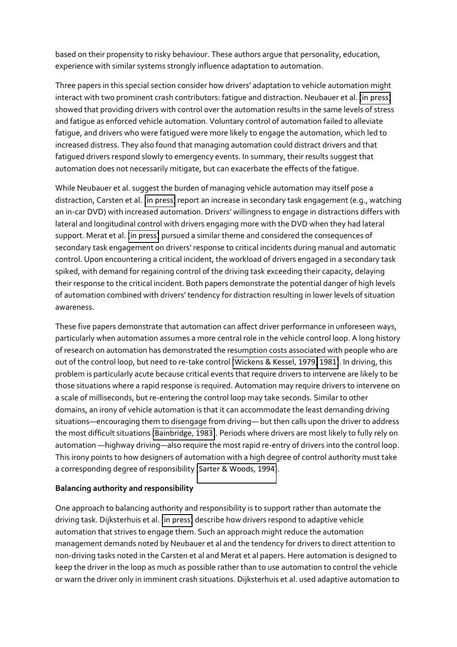based on their propensity to risky behaviour. These authors argue that personality, education, experience with similar systems strongly influence adaptation to automation.

Three papers in this special section consider how drivers' adaptation to vehicle automation might interact with two prominent crash contributors: fatigue and distraction. Neubauer et al. [\(in press\)](#page-6-8) showed that providing drivers with control over the automation results in the same levels of stress and fatigue as enforced vehicle automation. Voluntary control of automation failed to alleviate fatigue, and drivers who were fatigued were more likely to engage the automation, which led to increased distress. They also found that managing automation could distract drivers and that fatigued drivers respond slowly to emergency events. In summary, their results suggest that automation does not necessarily mitigate, but can exacerbate the effects of the fatigue.

While Neubauer et al. suggest the burden of managing vehicle automation may itself pose a distraction, Carsten et al. [\(in press\)](#page-6-9) report an increase in secondary task engagement (e.g., watching an in-car DVD) with increased automation. Drivers' willingness to engage in distractions differs with lateral and longitudinal control with drivers engaging more with the DVD when they had lateral support. Merat et al. [\(in press\)](#page-6-10) pursued a similar theme and considered the consequences of secondary task engagement on drivers' response to critical incidents during manual and automatic control. Upon encountering a critical incident, the workload of drivers engaged in a secondary task spiked, with demand for regaining control of the driving task exceeding their capacity, delaying their response to the critical incident. Both papers demonstrate the potential danger of high levels of automation combined with drivers' tendency for distraction resulting in lower levels of situation awareness.

These five papers demonstrate that automation can affect driver performance in unforeseen ways, particularly when automation assumes a more central role in the vehicle control loop. A long history of research on automation has demonstrated the resumption costs associated with people who are out of the control loop, but need to re-take control [\(Wickens & Kessel, 1979,](#page-7-8) [1981\)](#page-7-9). In driving, this problem is particularly acute because critical events that require drivers to intervene are likely to be those situations where a rapid response is required. Automation may require drivers to intervene on a scale of milliseconds, but re-entering the control loop may take seconds. Similar to other domains, an irony of vehicle automation is that it can accommodate the least demanding driving situations—encouraging them to disengage from driving— but then calls upon the driver to address the most difficult situations [\(Bainbridge, 1983\)](#page-6-11). Periods where drivers are most likely to fully rely on automation —highway driving—also require the most rapid re-entry of drivers into the control loop. This irony points to how designers of automation with a high degree of control authority must take a corresponding degree of responsibility [\(Sarter & Woods, 1994\)](#page-7-10).

### **Balancing authority and responsibility**

One approach to balancing authority and responsibility is to support rather than automate the driving task. Dijksterhuis et al. [\(in press\)](#page-6-12) describe how drivers respond to adaptive vehicle automation that strives to engage them. Such an approach might reduce the automation management demands noted by Neubauer et al and the tendency for drivers to direct attention to non-driving tasks noted in the Carsten et al and Merat et al papers. Here automation is designed to keep the driver in the loop as much as possible rather than to use automation to control the vehicle or warn the driver only in imminent crash situations. Dijksterhuis et al. used adaptive automation to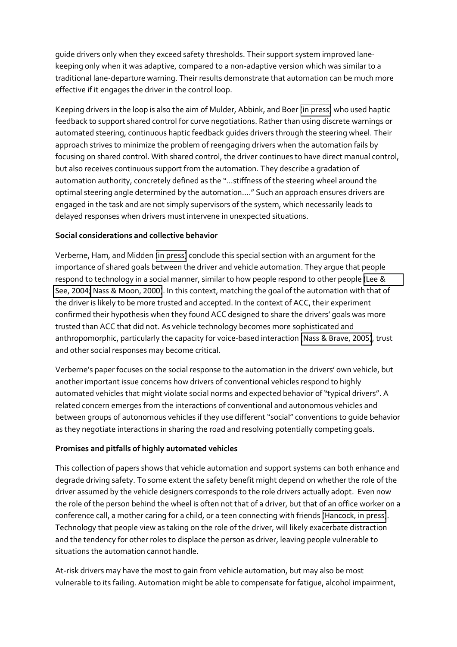guide drivers only when they exceed safety thresholds. Their support system improved lanekeeping only when it was adaptive, compared to a non-adaptive version which was similar to a traditional lane-departure warning. Their results demonstrate that automation can be much more effective if it engages the driver in the control loop.

Keeping drivers in the loop is also the aim of Mulder, Abbink, and Boer [\(in press\)](#page-6-13) who used haptic feedback to support shared control for curve negotiations. Rather than using discrete warnings or automated steering, continuous haptic feedback guides drivers through the steering wheel. Their approach strives to minimize the problem of reengaging drivers when the automation fails by focusing on shared control. With shared control, the driver continues to have direct manual control, but also receives continuous support from the automation. They describe a gradation of automation authority, concretely defined as the "...stiffness of the steering wheel around the optimal steering angle determined by the automation...." Such an approach ensures drivers are engaged in the task and are not simply supervisors of the system, which necessarily leads to delayed responses when drivers must intervene in unexpected situations.

# **Social considerations and collective behavior**

Verberne, Ham, and Midden [\(in press\)](#page-7-11) conclude this special section with an argument for the importance of shared goals between the driver and vehicle automation. They argue that people respond to technology in a social manner, similar to how people respond to other people [\(Lee &](#page-6-14)  [See, 2004;](#page-6-14) [Nass & Moon, 2000\)](#page-6-15). In this context, matching the goal of the automation with that of the driver is likely to be more trusted and accepted. In the context of ACC, their experiment confirmed their hypothesis when they found ACC designed to share the drivers' goals was more trusted than ACC that did not. As vehicle technology becomes more sophisticated and anthropomorphic, particularly the capacity for voice-based interaction [\(Nass & Brave, 2005\)](#page-6-16), trust and other social responses may become critical.

Verberne's paper focuses on the social response to the automation in the drivers' own vehicle, but another important issue concerns how drivers of conventional vehicles respond to highly automated vehicles that might violate social norms and expected behavior of "typical drivers". A related concern emerges from the interactions of conventional and autonomous vehicles and between groups of autonomous vehicles if they use different "social" conventions to guide behavior as they negotiate interactions in sharing the road and resolving potentially competing goals.

# **Promises and pitfalls of highly automated vehicles**

This collection of papers shows that vehicle automation and support systems can both enhance and degrade driving safety. To some extent the safety benefit might depend on whether the role of the driver assumed by the vehicle designers corresponds to the role drivers actually adopt. Even now the role of the person behind the wheel is often not that of a driver, but that of an office worker on a conference call, a mother caring for a child, or a teen connecting with friends [\(Hancock, in press\)](#page-6-17). Technology that people view as taking on the role of the driver, will likely exacerbate distraction and the tendency for other roles to displace the person as driver, leaving people vulnerable to situations the automation cannot handle.

At-risk drivers may have the most to gain from vehicle automation, but may also be most vulnerable to its failing. Automation might be able to compensate for fatigue, alcohol impairment,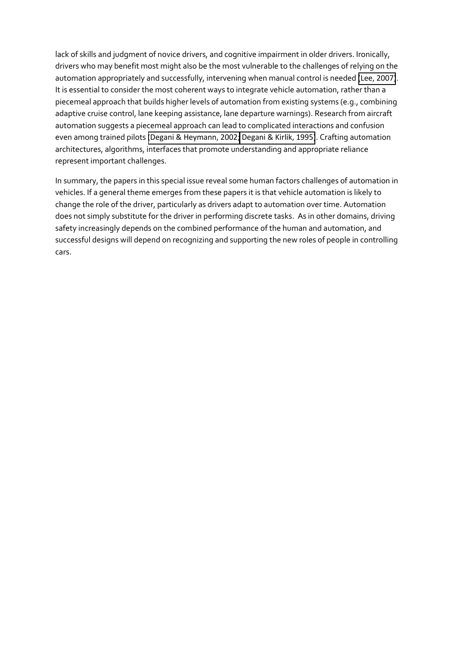<span id="page-6-11"></span><span id="page-6-4"></span><span id="page-6-3"></span>lack of skills and judgment of novice drivers, and cognitive impairment in older drivers. Ironically, drivers who may benefit most might also be the most vulnerable to the challenges of relying on the automation appropriately and successfully, intervening when manual control is needed [\(Lee, 2007\)](#page-6-18). It is essential to consider the most coherent ways to integrate vehicle automation, rather than a piecemeal approach that builds higher levels of automation from existing systems (e.g., combining adaptive cruise control, lane keeping assistance, lane departure warnings). Research from aircraft automation suggests a piecemeal approach can lead to complicated interactions and confusion even among trained pilots [\(Degani & Heymann, 2002;](#page-6-19) [Degani & Kirlik, 1995\)](#page-6-20). Crafting automation architectures, algorithms, interfaces that promote understanding and appropriate reliance represent important challenges.

<span id="page-6-20"></span><span id="page-6-19"></span><span id="page-6-18"></span><span id="page-6-17"></span><span id="page-6-16"></span><span id="page-6-15"></span><span id="page-6-14"></span><span id="page-6-13"></span><span id="page-6-12"></span><span id="page-6-10"></span><span id="page-6-9"></span><span id="page-6-8"></span><span id="page-6-7"></span><span id="page-6-6"></span><span id="page-6-5"></span><span id="page-6-2"></span><span id="page-6-1"></span><span id="page-6-0"></span>In summary, the papers in this special issue reveal some human factors challenges of automation in vehicles. If a general theme emerges from these papers it is that vehicle automation is likely to change the role of the driver, particularly as drivers adapt to automation over time. Automation does not simply substitute for the driver in performing discrete tasks. As in other domains, driving safety increasingly depends on the combined performance of the human and automation, and successful designs will depend on recognizing and supporting the new roles of people in controlling cars.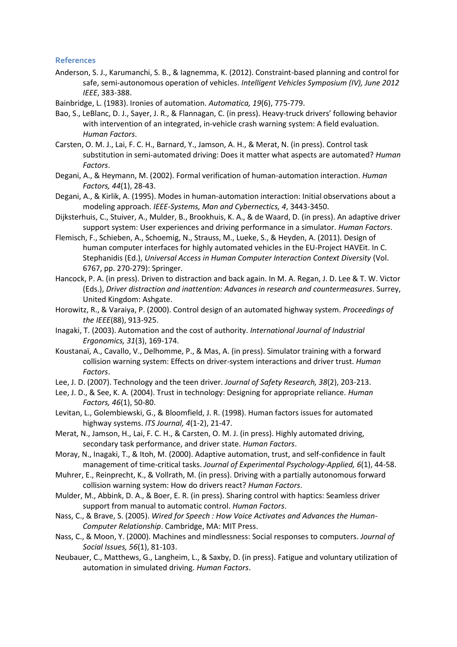#### <span id="page-7-0"></span>**References**

- <span id="page-7-1"></span>Anderson, S. J., Karumanchi, S. B., & Iagnemma, K. (2012). Constraint-based planning and control for safe, semi-autonomous operation of vehicles. *Intelligent Vehicles Symposium (IV), June 2012 IEEE*, 383-388.
- <span id="page-7-10"></span>Bainbridge, L. (1983). Ironies of automation. *Automatica, 19*(6), 775-779.
- Bao, S., LeBlanc, D. J., Sayer, J. R., & Flannagan, C. (in press). Heavy-truck drivers' following behavior with intervention of an integrated, in-vehicle crash warning system: A field evaluation. *Human Factors*.
- <span id="page-7-2"></span>Carsten, O. M. J., Lai, F. C. H., Barnard, Y., Jamson, A. H., & Merat, N. (in press). Control task substitution in semi-automated driving: Does it matter what aspects are automated? *Human Factors*.
- <span id="page-7-5"></span>Degani, A., & Heymann, M. (2002). Formal verification of human-automation interaction. *Human Factors, 44*(1), 28-43.
- <span id="page-7-3"></span>Degani, A., & Kirlik, A. (1995). Modes in human-automation interaction: Initial observations about a modeling approach. *IEEE-Systems, Man and Cybernectics, 4*, 3443-3450.
- <span id="page-7-6"></span>Dijksterhuis, C., Stuiver, A., Mulder, B., Brookhuis, K. A., & de Waard, D. (in press). An adaptive driver support system: User experiences and driving performance in a simulator. *Human Factors*.
- Flemisch, F., Schieben, A., Schoemig, N., Strauss, M., Lueke, S., & Heyden, A. (2011). Design of human computer interfaces for highly automated vehicles in the EU-Project HAVEit. In C. Stephanidis (Ed.), *Universal Access in Human Computer Interaction Context Diversity* (Vol. 6767, pp. 270-279): Springer.
- <span id="page-7-11"></span>Hancock, P. A. (in press). Driven to distraction and back again. In M. A. Regan, J. D. Lee & T. W. Victor (Eds.), *Driver distraction and inattention: Advances in research and countermeasures*. Surrey, United Kingdom: Ashgate.
- <span id="page-7-9"></span><span id="page-7-8"></span>Horowitz, R., & Varaiya, P. (2000). Control design of an automated highway system. *Proceedings of the IEEE*(88), 913-925.
- Inagaki, T. (2003). Automation and the cost of authority. *International Journal of Industrial Ergonomics, 31*(3), 169-174.
- <span id="page-7-7"></span>Koustanaï, A., Cavallo, V., Delhomme, P., & Mas, A. (in press). Simulator training with a forward collision warning system: Effects on driver-system interactions and driver trust. *Human Factors*.
- <span id="page-7-4"></span>Lee, J. D. (2007). Technology and the teen driver. *Journal of Safety Research, 38*(2), 203-213.
- Lee, J. D., & See, K. A. (2004). Trust in technology: Designing for appropriate reliance. *Human Factors, 46*(1), 50-80.
- Levitan, L., Golembiewski, G., & Bloomfield, J. R. (1998). Human factors issues for automated highway systems. *ITS Journal, 4*(1-2), 21-47.
- Merat, N., Jamson, H., Lai, F. C. H., & Carsten, O. M. J. (in press). Highly automated driving, secondary task performance, and driver state. *Human Factors*.
- Moray, N., Inagaki, T., & Itoh, M. (2000). Adaptive automation, trust, and self-confidence in fault management of time-critical tasks. *Journal of Experimental Psychology-Applied, 6*(1), 44-58.
- Muhrer, E., Reinprecht, K., & Vollrath, M. (in press). Driving with a partially autonomous forward collision warning system: How do drivers react? *Human Factors*.
- Mulder, M., Abbink, D. A., & Boer, E. R. (in press). Sharing control with haptics: Seamless driver support from manual to automatic control. *Human Factors*.
- Nass, C., & Brave, S. (2005). *Wired for Speech : How Voice Activates and Advances the Human-Computer Relationship*. Cambridge, MA: MIT Press.
- Nass, C., & Moon, Y. (2000). Machines and mindlessness: Social responses to computers. *Journal of Social Issues, 56*(1), 81-103.
- Neubauer, C., Matthews, G., Langheim, L., & Saxby, D. (in press). Fatigue and voluntary utilization of automation in simulated driving. *Human Factors*.